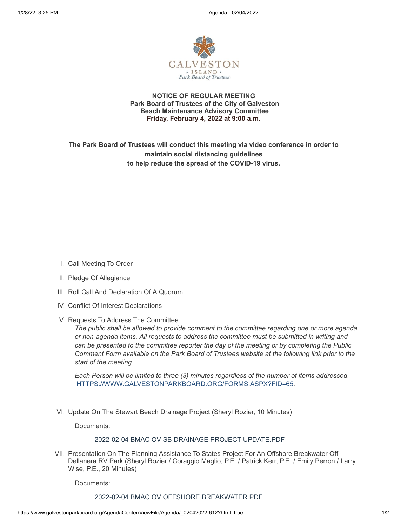

**NOTICE OF REGULAR MEETING Park Board of Trustees of the City of Galveston Beach Maintenance Advisory Committee Friday, February 4, 2022 at 9:00 a.m.**

**The Park Board of Trustees will conduct this meeting via video conference in order to maintain social distancing guidelines to help reduce the spread of the COVID-19 virus.**

- I. Call Meeting To Order
- II. Pledge Of Allegiance
- III. Roll Call And Declaration Of A Quorum
- IV. Conflict Of Interest Declarations
- V. Requests To Address The Committee

*The public shall be allowed to provide comment to the committee regarding one or more agenda or non-agenda items. All requests to address the committee must be submitted in writing and can be presented to the committee reporter the day of the meeting or by completing the Public Comment Form available on the Park Board of Trustees website at the following link prior to the start of the meeting.*

*Each Person will be limited to three (3) minutes regardless of the number of items addressed.* [HTTPS://WWW.GALVESTONPARKBOARD.ORG/FORMS.ASPX?FID=65](https://www.galvestonparkboard.org/forms.aspx?FID=65)*.*

VI. Update On The Stewart Beach Drainage Project (Sheryl Rozier, 10 Minutes)

Documents:

### 2022-02-04 BMAC OV SB DRAINAGE PROJECT [UPDATE.PDF](https://www.galvestonparkboard.org/AgendaCenter/ViewFile/Item/7225?fileID=10683)

VII. Presentation On The Planning Assistance To States Project For An Offshore Breakwater Off Dellanera RV Park (Sheryl Rozier / Coraggio Maglio, P.E. / Patrick Kerr, P.E. / Emily Perron / Larry Wise, P.E., 20 Minutes)

Documents:

# 2022-02-04 BMAC OV OFFSHORE [BREAKWATER.PDF](https://www.galvestonparkboard.org/AgendaCenter/ViewFile/Item/7227?fileID=10693)